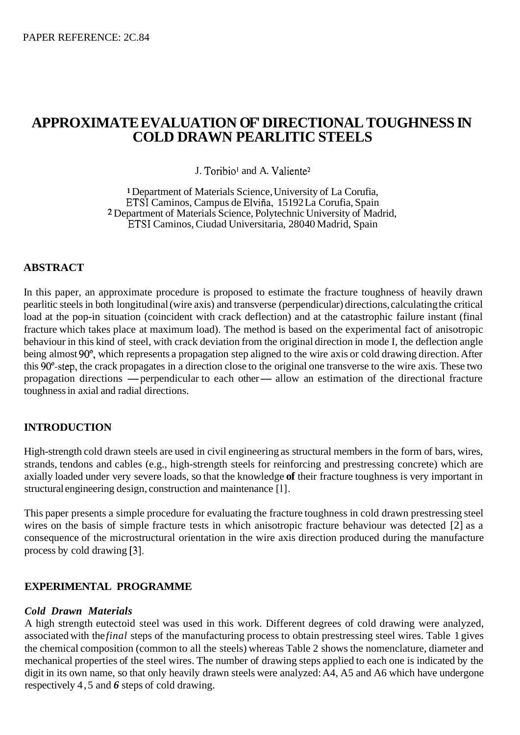# **APPROXIMATE EVALUATION OF' DIRECTIONAL TOUGHNESS IN COLD DRAWN PEARLITIC STEELS**

J. Toribio' and A. Valiente2

Department of Materials Science, University of La Corufia, ETSI Caminos, Campus de Elvifia, 15 192 La Corufia, Spain <sup>2</sup> Department of Materials Science, Polytechnic University of Madrid, ETSI Caminos, Ciudad Universitaria, 28040 Madrid, Spain

## **ABSTRACT**

In this paper, an approximate procedure is proposed to estimate the fracture toughness of heavily drawn pearlitic steels in both longitudinal (wire axis) and transverse (perpendicular) directions, calculating the critical load at the pop-in situation (coincident with crack deflection) and at the catastrophic failure instant (final fracture which takes place at maximum load). The method is based on the experimental fact of anisotropic behaviour in this kind of steel, with crack deviation from the original direction in mode I, the deflection angle being almost 90°, which represents a propagation step aligned to the wire axis or cold drawing direction. After this 90<sup>o</sup>-step, the crack propagates in a direction close to the original one transverse to the wire axis. These two propagation directions — perpendicular to each other— allow an estimation of the directional fracture toughness in axial and radial directions.

## **INTRODUCTION**

High-strength cold drawn steels are used in civil engineering as structural members in the form of bars, wires, strands, tendons and cables (e.g., high-strength steels for reinforcing and prestressing concrete) which are axially loaded under very severe loads, so that the knowledge **of** their fracture toughness is very important in structural engineering design, construction and maintenance [l].

This paper presents a simple procedure for evaluating the fracture toughness in cold drawn prestressing steel wires on the basis of simple fracture tests in which anisotropic fracture behaviour was detected [2] as a consequence of the microstructural orientation in the wire axis direction produced during the manufacture process by cold drawing **[3].** 

## **EXPERIMENTAL PROGRAMME**

#### *Cold Drawn Materials*

A high strength eutectoid steel was used in this work. Different degrees of cold drawing were analyzed, associated with the *final* steps of the manufacturing process to obtain prestressing steel wires. [Table 1](#page-1-0) gives the chemical composition (common to all the steels) whereas [Table 2](#page-1-0) shows the nomenclature, diameter and mechanical properties of the steel wires. The number of drawing steps applied to each one is indicated by the digit in its own name, so that only heavily drawn steels were analyzed: A4, A5 and A6 which have undergone respectively 4,5 and *6* steps of cold drawing.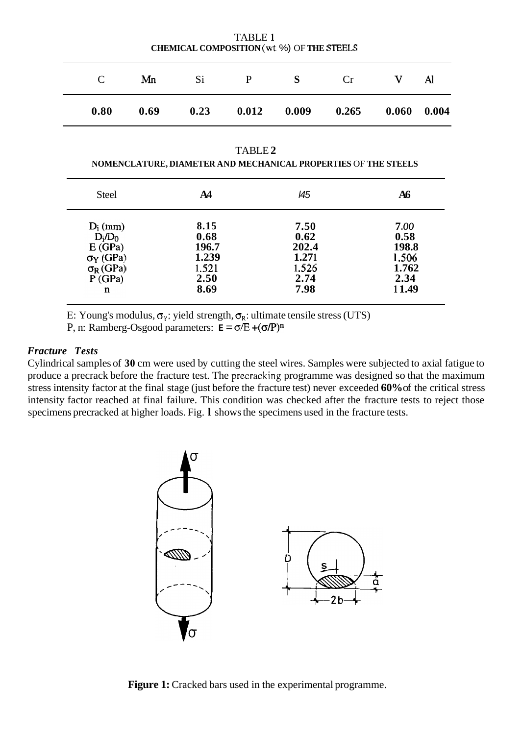<span id="page-1-0"></span>

| $\mathcal{C}_{\mathcal{C}}$                                                              | Mn   | Si                                                      | $\mathbf{P}$ | S                                                       | Cr    | V                                                        | Al    |
|------------------------------------------------------------------------------------------|------|---------------------------------------------------------|--------------|---------------------------------------------------------|-------|----------------------------------------------------------|-------|
| 0.80                                                                                     | 0.69 | 0.23                                                    | 0.012        | 0.009                                                   | 0.265 | 0.060                                                    | 0.004 |
| TABLE <sub>2</sub><br>NOMENCLATURE, DIAMETER AND MECHANICAL PROPERTIES OF THE STEELS     |      |                                                         |              |                                                         |       |                                                          |       |
| <b>Steel</b>                                                                             |      | A <sub>4</sub>                                          |              | 145                                                     |       | A6                                                       |       |
| $D_i$ (mm)<br>$D_i/D_0$<br>E(GPa)<br>$\sigma_Y$ (GPa)<br>$\sigma_R$ (GPa)<br>P(GPa)<br>n |      | 8.15<br>0.68<br>196.7<br>1.239<br>1.521<br>2.50<br>8.69 |              | 7.50<br>0.62<br>202.4<br>1.271<br>1.526<br>2.74<br>7.98 |       | 7.00<br>0.58<br>198.8<br>1.506<br>1.762<br>2.34<br>11.49 |       |

TABLE **1 CHEMICAL COMPOSITION** (wt %) OF **THE STEELS** 

E: Young's modulus, **oy:** yield strength, *0,:* ultimate tensile stress (UTS)

P, n: Ramberg-Osgood parameters:  $\mathbf{E} = \sigma/E + (\sigma/P)^n$ 

#### *Fracture Tests*

Cylindrical samples of **30** cm were used by cutting the steel wires. Samples were subjected to axial fatigue to produce a precrack before the fracture test. The precracking programme was designed so that the maximum stress intensity factor at the final stage (just before the fracture test) never exceeded **60%** of the critical stress intensity factor reached at final failure. This condition was checked after the fracture tests to reject those specimens precracked at higher loads. Fig. **l** shows the specimens used in the fracture tests.



**Figure 1:** Cracked bars used in the experimental programme.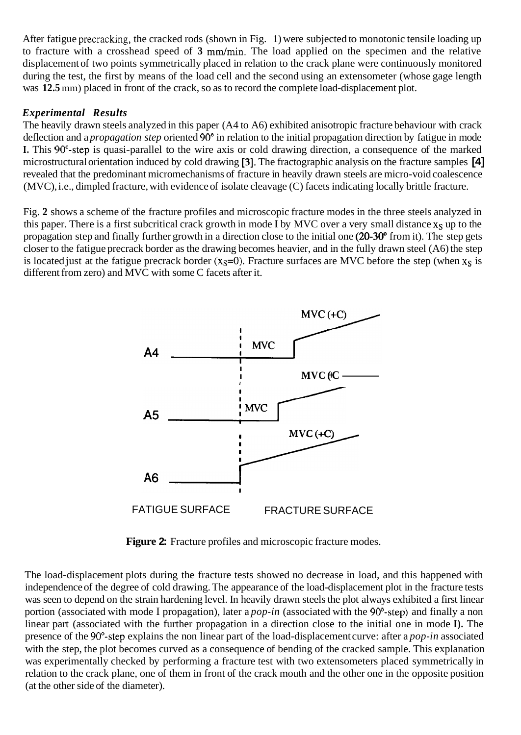After fatigue precracking, the cracked rods (shown in Fig. 1) were subjected to monotonic tensile loading up to fracture with a crosshead speed of 3 mm/min. The load applied on the specimen and the relative displacement of two points symmetrically placed in relation to the crack plane were continuously monitored during the test, the first by means of the load cell and the second using an extensometer (whose gage length was **12.5** mm) placed in front of the crack, so as to record the complete load-displacement plot.

# *Experimental Results*

The heavily drawn steels analyzed in this paper (A4 to A6) exhibited anisotropic fracture behaviour with crack deflection and a *propagation step* oriented 90" in relation to the initial propagation direction by fatigue in mode **I.** This 90<sup>°</sup>-step is quasi-parallel to the wire axis or cold drawing direction, a consequence of the marked microstructural orientation induced by cold drawing **[3].** The fractographic analysis on the fracture samples **[4]**  revealed that the predominant micromechanisms of fracture in heavily drawn steels are micro-void coalescence (MVC), i.e., dimpled fracture, with evidence of isolate cleavage (C) facets indicating locally brittle fracture.

Fig. **2** shows a scheme of the fracture profiles and microscopic fracture modes in the three steels analyzed in this paper. There is a first subcritical crack growth in mode I by MVC over a very small distance x<sub>S</sub> up to the propagation step and finally further growth in a direction close to the initial one **(20-30"** from it). The step gets closer to the fatigue precrack border as the drawing becomes heavier, and in the fully drawn steel (A6) the step is located just at the fatigue precrack border ( $x_s=0$ ). Fracture surfaces are MVC before the step (when  $x_s$  is different from zero) and MVC with some C facets after it.



**Figure 2:** Fracture profiles and microscopic fracture modes.

The load-displacement plots during the fracture tests showed no decrease in load, and this happened with independence of the degree of cold drawing. The appearance of the load-displacement plot in the fracture tests was seen to depend on the strain hardening level. In heavily drawn steels the plot always exhibited a first linear portion (associated with mode I propagation), later a *pop-in* (associated with the 90°-step) and finally a non linear part (associated with the further propagation in a direction close to the initial one in mode **I).** The presence of the 90<sup>°</sup>-step explains the non linear part of the load-displacement curve: after a *pop-in* associated with the step, the plot becomes curved as a consequence of bending of the cracked sample. This explanation was experimentally checked by performing a fracture test with two extensometers placed symmetrically in relation to the crack plane, one of them in front of the crack mouth and the other one in the opposite position (at the other side of the diameter).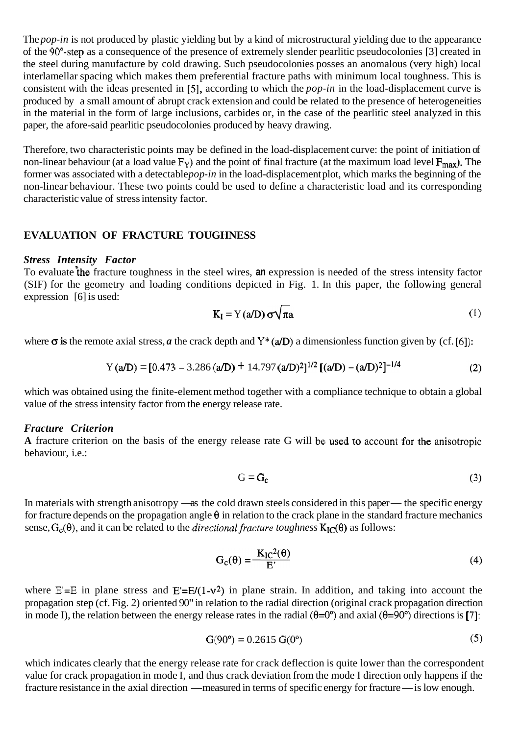The *pop-in* is not produced by plastic yielding but by a kind of microstructural yielding due to the appearance of the 9O"-step as a consequence of the presence of extremely slender pearlitic pseudocolonies [3] created in the steel during manufacture by cold drawing. Such pseudocolonies posses an anomalous (very high) local interlamellar spacing which makes them preferential fracture paths with minimum local toughness. This is consistent with the ideas presented in [5], according to which the *pop-in* in the load-displacement curve is produced by a small amount of abrupt crack extension and could be related to the presence of heterogeneities in the material in the form of large inclusions, carbides or, in the case of the pearlitic steel analyzed in this paper, the afore-said pearlitic pseudocolonies produced by heavy drawing.

Therefore, two characteristic points may be defined in the load-displacement curve: the point of initiation of non-linear behaviour (at a load value  $F_Y$ ) and the point of final fracture (at the maximum load level  $F_{\text{max}}$ ). The former was associated with a detectable *pop-in* in the load-displacement plot, which marks the beginning of the non-linear behaviour. These two points could be used to define a characteristic load and its corresponding characteristic value of stress intensity factor.

#### **EVALUATION OF FRACTURE TOUGHNESS**

#### *Stress Intensity Factor*

To evaluate the fracture toughness in the steel wires, an expression is needed of the stress intensity factor (SIF) for the geometry and loading conditions depicted in Fig. 1. In this paper, the following general expression [6] is used:

$$
K_{I} = Y(a/D) \sigma \sqrt{\pi a}
$$
 (1)

where  $\sigma$  is the remote axial stress, *a* the crack depth and Y<sup>\*</sup> (a/D) a dimensionless function given by (cf. [6]):

<sup>Y</sup>(a) <sup>=</sup>[0.473 - 3.286 *(m)* <sup>+</sup>14.797 (a/D)2]1/2 [(a) - (d~)~]-'/~

which was obtained using the finite-element method together with a compliance technique to obtain a global value of the stress intensity factor from the energy release rate.

#### *Fracture Criterion*

**A** fracture criterion on the basis of the energy release rate G will be used to account for the anisotropic behaviour, i.e.:

$$
G = G_c \tag{3}
$$

In materials with strength anisotropy —as the cold drawn steels considered in this paper— the specific energy for fracture depends on the propagation angle  $\theta$  in relation to the crack plane in the standard fracture mechanics sense,  $G_c(\theta)$ , and it can be related to the *directional fracture toughness*  $K_{IC}(\theta)$  as follows:

$$
G_{c}(\theta) = \frac{K_{IC}^{2}(\theta)}{E'}
$$
 (4)

where  $E'=E$  in plane stress and  $E'=E/(1-v^2)$  in plane strain. In addition, and taking into account the propagation step (cf. Fig. 2) oriented 90" in relation to the radial direction (original crack propagation direction in mode I), the relation between the energy release rates in the radial  $(\theta=0^{\circ})$  and axial  $(\theta=90^{\circ})$  directions is [7]:

$$
G(90^{\circ}) = 0.2615 \ G(0^{\circ}) \tag{5}
$$

which indicates clearly that the energy release rate for crack deflection is quite lower than the correspondent value for crack propagation in mode I, and thus crack deviation from the mode I direction only happens if the fracture resistance in the axial direction —measured in terms of specific energy for fracture— is low enough.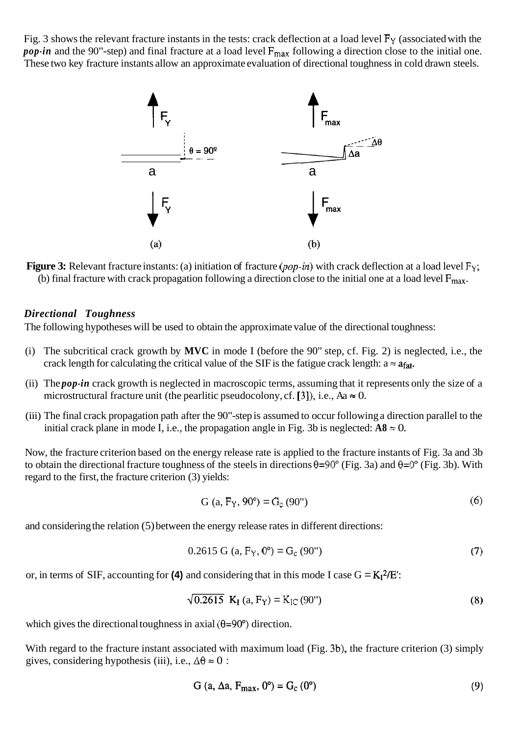Fig. 3 shows the relevant fracture instants in the tests: crack deflection at a load level  $F<sub>Y</sub>$  (associated with the *pop-in* and the 90"-step) and final fracture at a load level  $F_{\text{max}}$  following a direction close to the initial one. These two key fracture instants allow an approximate evaluation of directional toughness in cold drawn steels.



**Figure 3:** Relevant fracture instants: (a) initiation of fracture *(pop-in)* with crack deflection at a load level  $F_Y$ ; (b) final fracture with crack propagation following a direction close to the initial one at a load level  $F_{\text{max}}$ .

### *Directional Toughness*

The following hypotheses will be used to obtain the approximate value of the directional toughness:

- (i) The subcritical crack growth by **MVC** in mode I (before the 90" step, cf. Fig. 2) is neglected, i.e., the crack length for calculating the critical value of the SIF is the fatigue crack length:  $a \approx a_{\text{fat}}$ .
- (ii) The *pop-in* crack growth is neglected in macroscopic terms, assuming that it represents only the size of a microstructural fracture unit (the pearlitic pseudocolony, cf. [3]), i.e.,  $Aa \approx 0$ .
- (iii) The final crack propagation path after the 90"-step is assumed to occur following a direction parallel to the initial crack plane in mode I, i.e., the propagation angle in Fig. 3b is neglected:  $A8 \approx 0$ .

Now, the fracture criterion based on the energy release rate is applied to the fracture instants of Fig. 3a and 3b to obtain the directional fracture toughness of the steels in directions  $\theta = 90^\circ$  (Fig. 3a) and  $\theta = 0^\circ$  (Fig. 3b). With regard to the first, the fracture criterion (3) yields:

$$
G (a, F_Y, 90^\circ) = G_c (90^\circ)
$$
 (6)

and considering the relation (5) between the energy release rates in different directions:

$$
0.2615 \text{ G} \text{ (a, } F_Y, 0^\circ) = G_c \text{ (90'')}
$$
 (7)

or, in terms of SIF, accounting for (4) and considering that in this mode I case  $G = K_1^2/E$ .

$$
\sqrt{0.2615} \, \mathbf{K}_{\text{I}} \left( a, \mathbf{F}_{\text{Y}} \right) = \mathbf{K}_{\text{IC}} \left( 90^{\circ} \right) \tag{8}
$$

which gives the directional toughness in axial  $(\theta=90^{\circ})$  direction.

With regard to the fracture instant associated with maximum load (Fig. 3b), the fracture criterion (3) simply gives, considering hypothesis (iii), i.e.,  $\Delta\theta \approx 0$ :

$$
G (a, \Delta a, F_{\text{max}}, 0^{\circ}) = G_{\text{c}} (0^{\circ})
$$
\n
$$
(9)
$$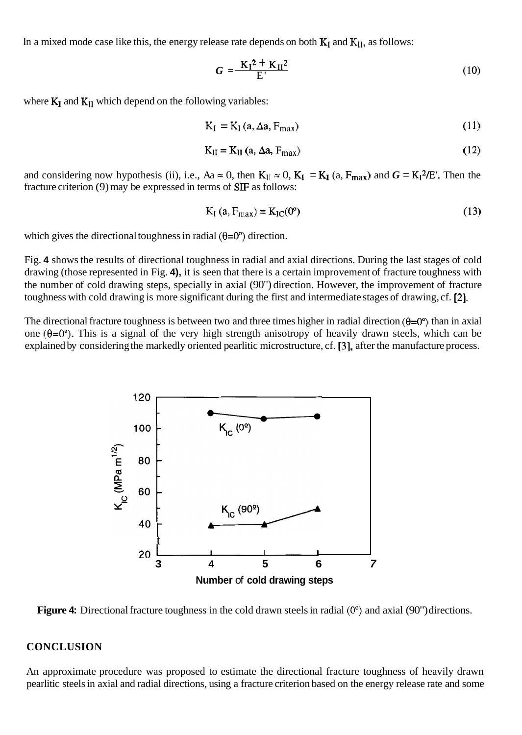In a mixed mode case like this, the energy release rate depends on both  $K_I$  and  $K_{II}$ , as follows:

$$
G = \frac{K_I^2 + K_{II}^2}{E'} \tag{10}
$$

where  $K_I$  and  $K_{II}$  which depend on the following variables:

$$
K_{I} = K_{I} (a, \Delta a, F_{max})
$$
 (11)

$$
K_{II} = K_{II} (a, \Delta a, F_{max})
$$
 (12)

and considering now hypothesis (ii), i.e., Aa  $\approx$  0, then  $K_{II} \approx 0$ ,  $K_I = K_I (a, F_{max})$  and  $G = K_I^2/E'$ . Then the fracture criterion (9) may be expressed in terms of **SF** as follows:

$$
K_{I} (a, F_{max}) = K_{IC}(0^{\circ})
$$
 (13)

which gives the directional toughness in radial  $(\theta=0^{\circ})$  direction.

Fig. **4** shows the results of directional toughness in radial and axial directions. During the last stages of cold drawing (those represented in Fig. **4),** it is seen that there is a certain improvement of fracture toughness with the number of cold drawing steps, specially in axial (90") direction. However, the improvement of fracture toughness with cold drawing is more significant during the first and intermediate stages of drawing, cf. **[2].** 

The directional fracture toughness is between two and three times higher in radial direction  $(\theta=0^{\circ})$  than in axial one  $(\theta=0^{\circ})$ . This is a signal of the very high strength anisotropy of heavily drawn steels, which can be explained by considering the markedly oriented pearlitic microstructure, cf. **[3],** after the manufacture process.



**Figure 4:** Directional fracture toughness in the cold drawn steels in radial *(0")* and axial (90") directions.

#### **CONCLUSION**

An approximate procedure was proposed to estimate the directional fracture toughness of heavily drawn pearlitic steels in axial and radial directions, using a fracture criterion based on the energy release rate and some